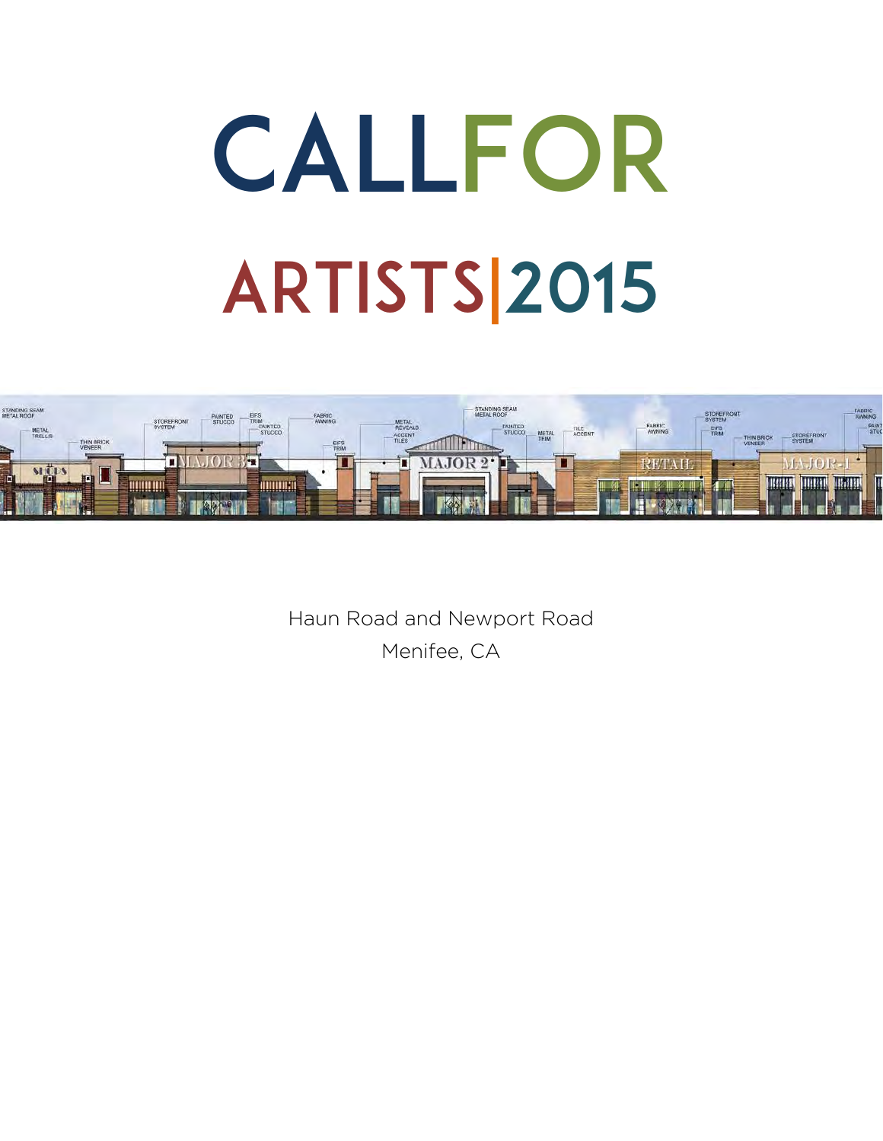# CALLFOR ARTISTS|2015



Haun Road and Newport Road Menifee, CA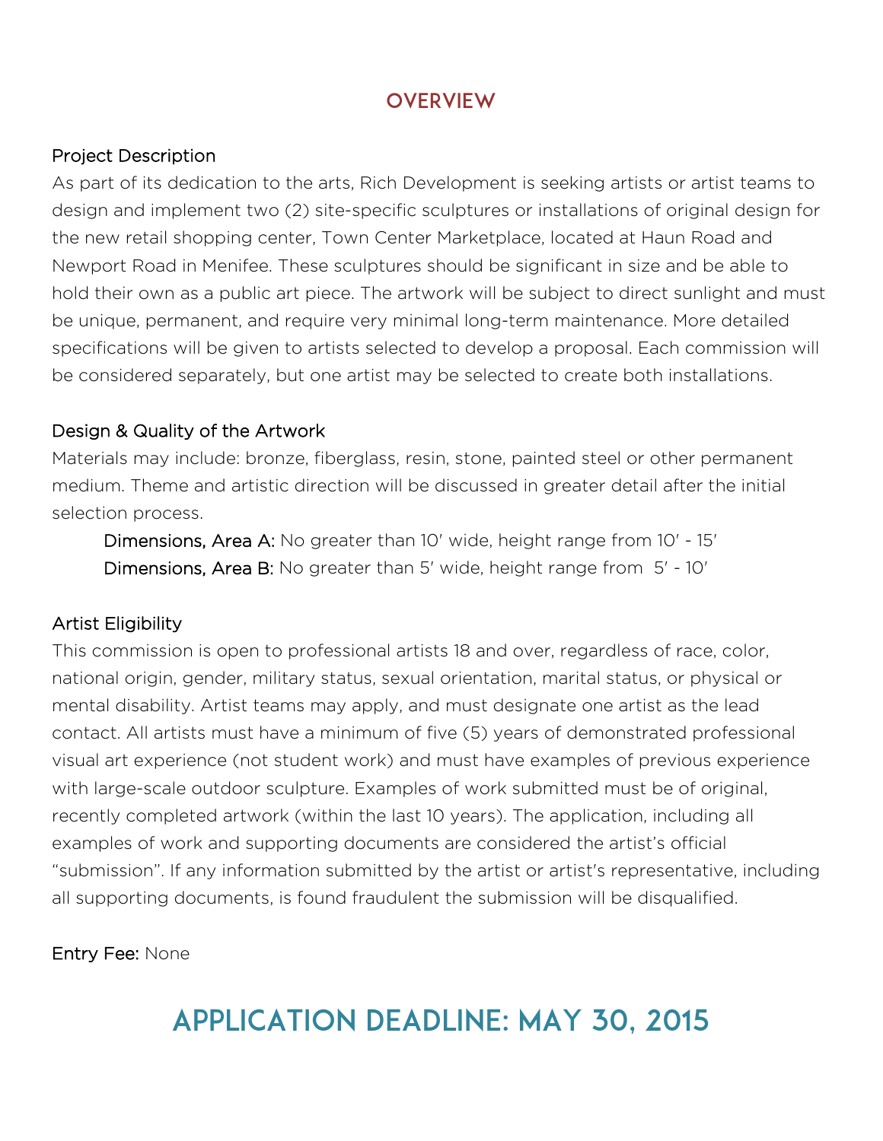### **OVERVIEW**

#### Project Description

As part of its dedication to the arts, Rich Development is seeking artists or artist teams to design and implement two (2) site-specific sculptures or installations of original design for the new retail shopping center, Town Center Marketplace, located at Haun Road and Newport Road in Menifee. These sculptures should be significant in size and be able to hold their own as a public art piece. The artwork will be subject to direct sunlight and must be unique, permanent, and require very minimal long-term maintenance. More detailed specifications will be given to artists selected to develop a proposal. Each commission will be considered separately, but one artist may be selected to create both installations.

#### Design & Quality of the Artwork

Materials may include: bronze, fiberglass, resin, stone, painted steel or other permanent medium. Theme and artistic direction will be discussed in greater detail after the initial selection process.

Dimensions, Area A: No greater than 10' wide, height range from 10' - 15' Dimensions, Area B: No greater than 5' wide, height range from 5' - 10'

#### Artist Eligibility

This commission is open to professional artists 18 and over, regardless of race, color, national origin, gender, military status, sexual orientation, marital status, or physical or mental disability. Artist teams may apply, and must designate one artist as the lead contact. All artists must have a minimum of five (5) years of demonstrated professional visual art experience (not student work) and must have examples of previous experience with large-scale outdoor sculpture. Examples of work submitted must be of original, recently completed artwork (within the last 10 years). The application, including all examples of work and supporting documents are considered the artist's official "submission". If any information submitted by the artist or artist's representative, including all supporting documents, is found fraudulent the submission will be disqualified.

#### Entry Fee: None

# application Deadline: May 30, 2015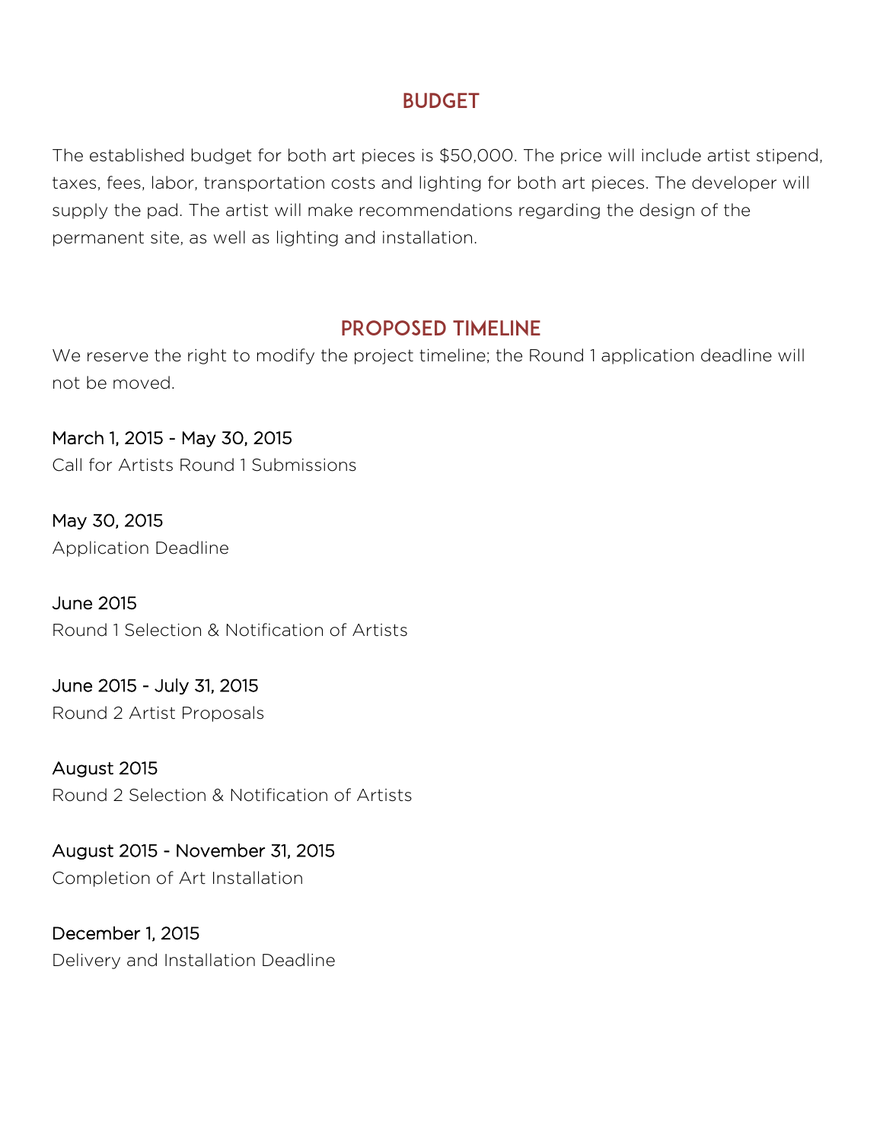# BUDGET

The established budget for both art pieces is \$50,000. The price will include artist stipend, taxes, fees, labor, transportation costs and lighting for both art pieces. The developer will supply the pad. The artist will make recommendations regarding the design of the permanent site, as well as lighting and installation.

#### PROPOSED TIMELINE

We reserve the right to modify the project timeline; the Round 1 application deadline will not be moved.

March 1, 2015 - May 30, 2015 Call for Artists Round 1 Submissions

May 30, 2015 Application Deadline

June 2015 Round 1 Selection & Notification of Artists

June 2015 - July 31, 2015 Round 2 Artist Proposals

August 2015 Round 2 Selection & Notification of Artists

August 2015 - November 31, 2015 Completion of Art Installation

December 1, 2015 Delivery and Installation Deadline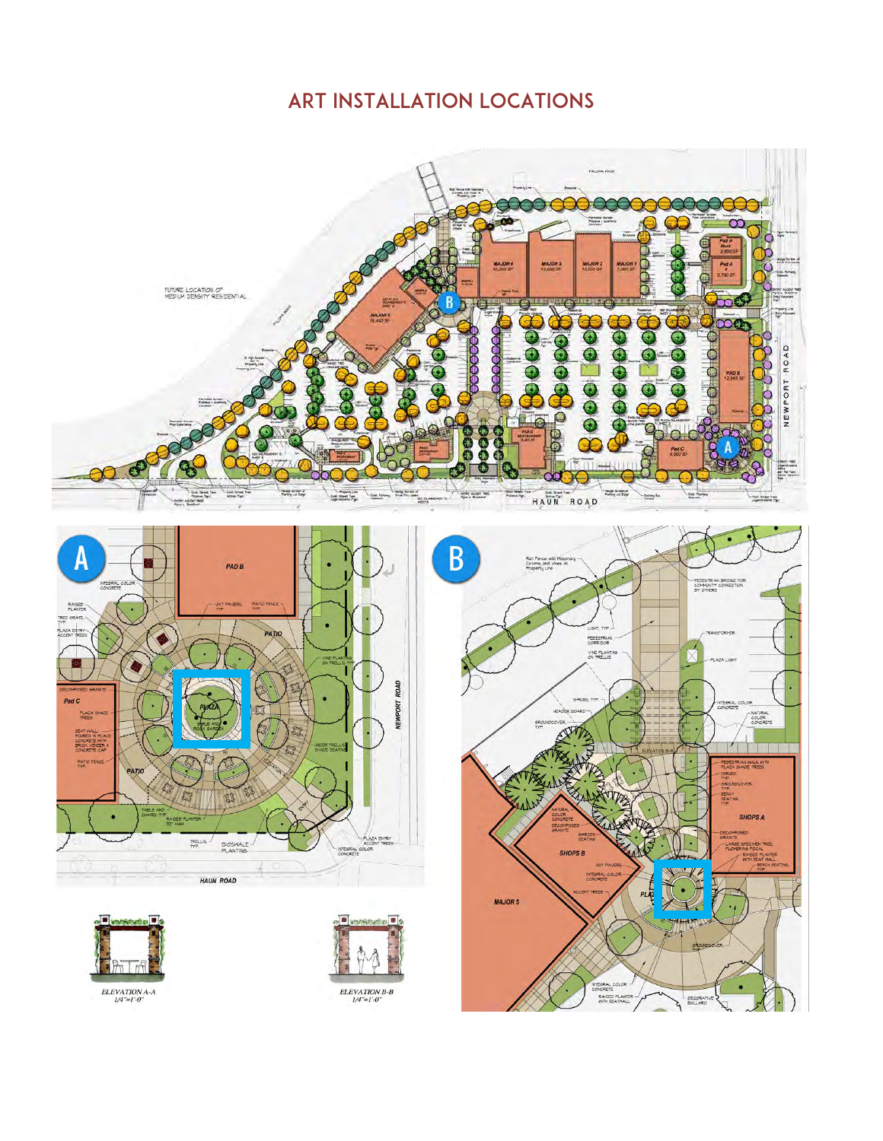# Art Installation Locations

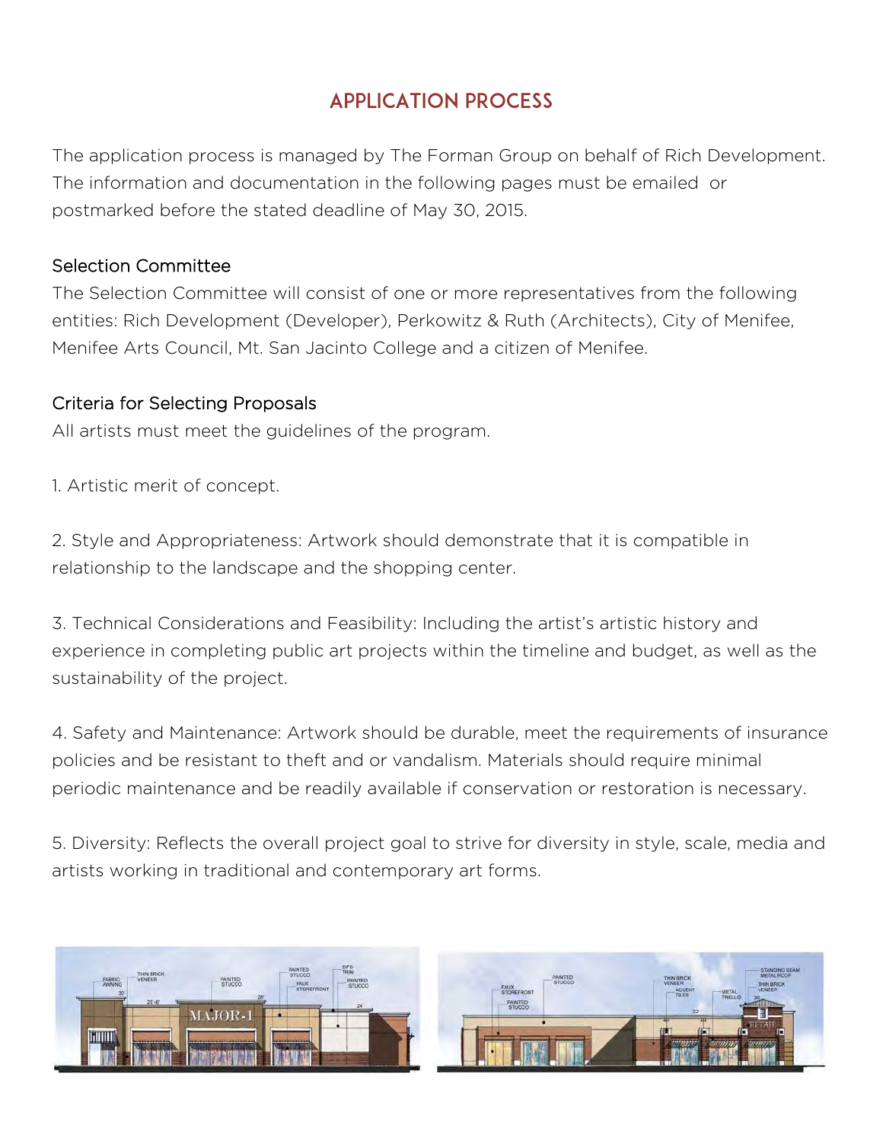# APPLICATION PROCESS

The application process is managed by The Forman Group on behalf of Rich Development. The information and documentation in the following pages must be emailed or postmarked before the stated deadline of May 30, 2015.

#### Selection Committee

The Selection Committee will consist of one or more representatives from the following entities: Rich Development (Developer), Perkowitz & Ruth (Architects), City of Menifee, Menifee Arts Council, Mt. San Jacinto College and a citizen of Menifee.

#### Criteria for Selecting Proposals

All artists must meet the guidelines of the program.

1. Artistic merit of concept.

2. Style and Appropriateness: Artwork should demonstrate that it is compatible in relationship to the landscape and the shopping center.

3. Technical Considerations and Feasibility: Including the artist's artistic history and experience in completing public art projects within the timeline and budget, as well as the sustainability of the project.

4. Safety and Maintenance: Artwork should be durable, meet the requirements of insurance policies and be resistant to theft and or vandalism. Materials should require minimal periodic maintenance and be readily available if conservation or restoration is necessary.

5. Diversity: Reflects the overall project goal to strive for diversity in style, scale, media and artists working in traditional and contemporary art forms.

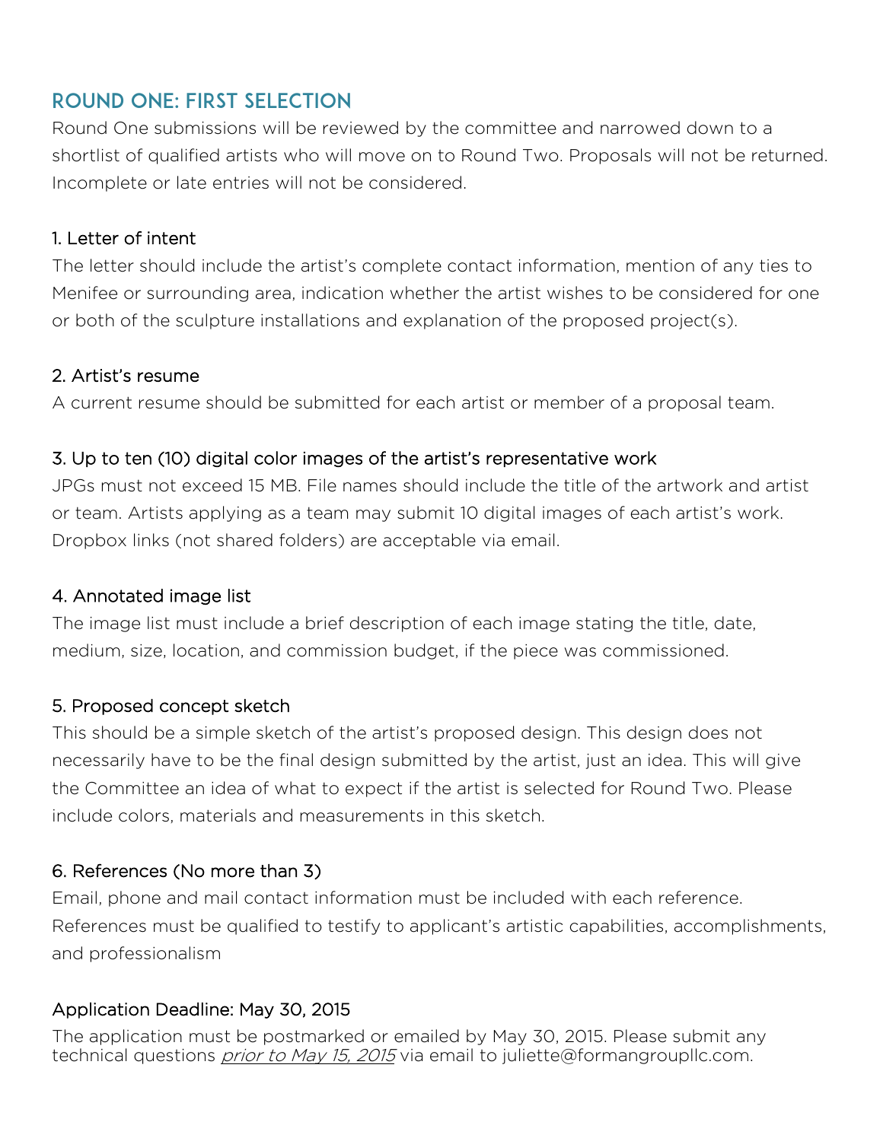# ROUND ONE: First Selection

Round One submissions will be reviewed by the committee and narrowed down to a shortlist of qualified artists who will move on to Round Two. Proposals will not be returned. Incomplete or late entries will not be considered.

#### 1. Letter of intent

The letter should include the artist's complete contact information, mention of any ties to Menifee or surrounding area, indication whether the artist wishes to be considered for one or both of the sculpture installations and explanation of the proposed project(s).

#### 2. Artist's resume

A current resume should be submitted for each artist or member of a proposal team.

#### 3. Up to ten (10) digital color images of the artist's representative work

JPGs must not exceed 15 MB. File names should include the title of the artwork and artist or team. Artists applying as a team may submit 10 digital images of each artist's work. Dropbox links (not shared folders) are acceptable via email.

#### 4. Annotated image list

The image list must include a brief description of each image stating the title, date, medium, size, location, and commission budget, if the piece was commissioned.

#### 5. Proposed concept sketch

This should be a simple sketch of the artist's proposed design. This design does not necessarily have to be the final design submitted by the artist, just an idea. This will give the Committee an idea of what to expect if the artist is selected for Round Two. Please include colors, materials and measurements in this sketch.

#### 6. References (No more than 3)

Email, phone and mail contact information must be included with each reference. References must be qualified to testify to applicant's artistic capabilities, accomplishments, and professionalism

#### Application Deadline: May 30, 2015

The application must be postmarked or emailed by May 30, 2015. Please submit any technical questions *prior to May 15, 2015* via email to juliette@formangroupllc.com.